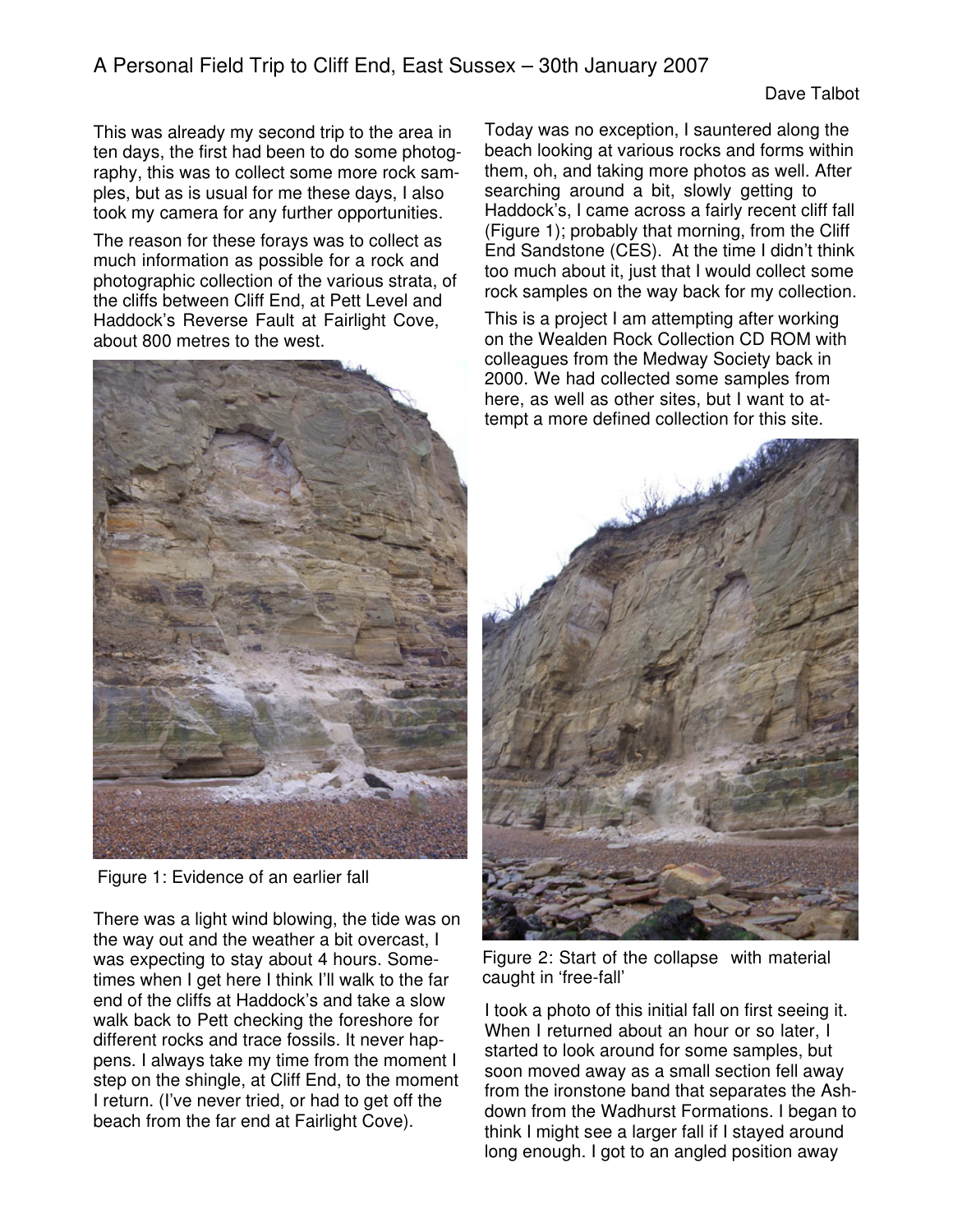This was already my second trip to the area in ten days, the first had been to do some photography, this was to collect some more rock samples, but as is usual for me these days, I also took my camera for any further opportunities.

The reason for these forays was to collect as much information as possible for a rock and photographic collection of the various strata, of the cliffs between Cliff End, at Pett Level and Haddock's Reverse Fault at Fairlight Cove, about 800 metres to the west.



Figure 1: Evidence of an earlier fall

There was a light wind blowing, the tide was on the way out and the weather a bit overcast, I was expecting to stay about 4 hours. Sometimes when I get here I think I'll walk to the far end of the cliffs at Haddock's and take a slow walk back to Pett checking the foreshore for different rocks and trace fossils. It never happens. I always take my time from the moment I step on the shingle, at Cliff End, to the moment I return. (I've never tried, or had to get off the beach from the far end at Fairlight Cove).

Today was no exception, I sauntered along the beach looking at various rocks and forms within them, oh, and taking more photos as well. After searching around a bit, slowly getting to Haddock's, I came across a fairly recent cliff fall (Figure 1); probably that morning, from the Cliff End Sandstone (CES). At the time I didn't think too much about it, just that I would collect some rock samples on the way back for my collection.

This is a project I am attempting after working on the Wealden Rock Collection CD ROM with colleagues from the Medway Society back in 2000. We had collected some samples from here, as well as other sites, but I want to attempt a more defined collection for this site.



Figure 2: Start of the collapse with material caught in 'free-fall'

I took a photo of this initial fall on first seeing it. When I returned about an hour or so later, I started to look around for some samples, but soon moved away as a small section fell away from the ironstone band that separates the Ashdown from the Wadhurst Formations. I began to think I might see a larger fall if I stayed around long enough. I got to an angled position away